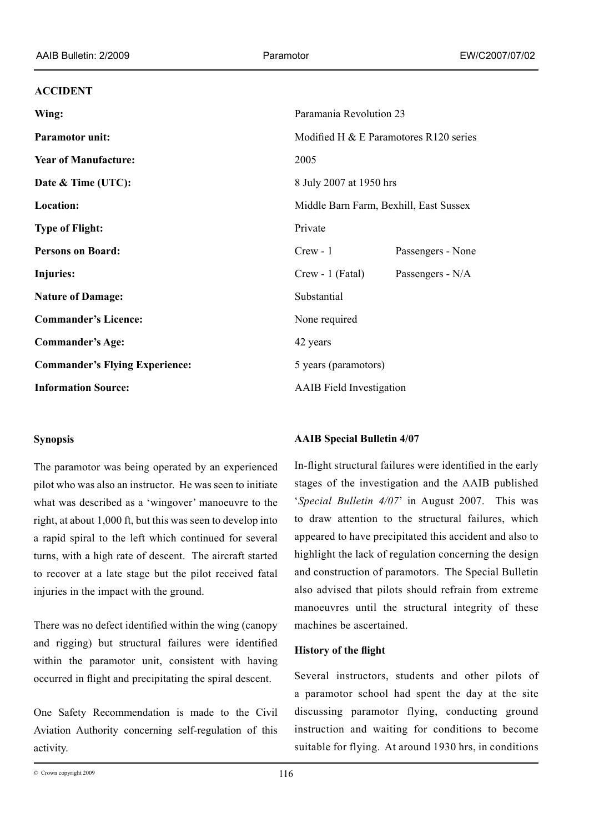#### **ACCIDENT**

| Wing:                                 | Paramania Revolution 23                     |                   |
|---------------------------------------|---------------------------------------------|-------------------|
| <b>Paramotor unit:</b>                | Modified H $& \&$ E Paramotores R120 series |                   |
| <b>Year of Manufacture:</b>           | 2005                                        |                   |
| Date & Time (UTC):                    | 8 July 2007 at 1950 hrs                     |                   |
| <b>Location:</b>                      | Middle Barn Farm, Bexhill, East Sussex      |                   |
| <b>Type of Flight:</b>                | Private                                     |                   |
| <b>Persons on Board:</b>              | $Crew - 1$                                  | Passengers - None |
| Injuries:                             | $Crew - 1$ (Fatal)                          | Passengers - N/A  |
| <b>Nature of Damage:</b>              | Substantial                                 |                   |
| <b>Commander's Licence:</b>           | None required                               |                   |
| <b>Commander's Age:</b>               | 42 years                                    |                   |
| <b>Commander's Flying Experience:</b> | 5 years (paramotors)                        |                   |
| <b>Information Source:</b>            | <b>AAIB</b> Field Investigation             |                   |

## **Synopsis**

The paramotor was being operated by an experienced pilot who was also an instructor. He was seen to initiate what was described as a 'wingover' manoeuvre to the right, at about 1,000 ft, but this was seen to develop into a rapid spiral to the left which continued for several turns, with a high rate of descent. The aircraft started to recover at a late stage but the pilot received fatal injuries in the impact with the ground.

There was no defect identified within the wing (canopy and rigging) but structural failures were identified within the paramotor unit, consistent with having occurred in flight and precipitating the spiral descent.

One Safety Recommendation is made to the Civil Aviation Authority concerning self-regulation of this activity.

### **AAIB Special Bulletin 4/07**

In-flight structural failures were identified in the early stages of the investigation and the AAIB published '*Special Bulletin 4/07*' in August 2007. This was to draw attention to the structural failures, which appeared to have precipitated this accident and also to highlight the lack of regulation concerning the design and construction of paramotors. The Special Bulletin also advised that pilots should refrain from extreme manoeuvres until the structural integrity of these machines be ascertained.

#### **History of the flight**

Several instructors, students and other pilots of a paramotor school had spent the day at the site discussing paramotor flying, conducting ground instruction and waiting for conditions to become suitable for flying. At around 1930 hrs, in conditions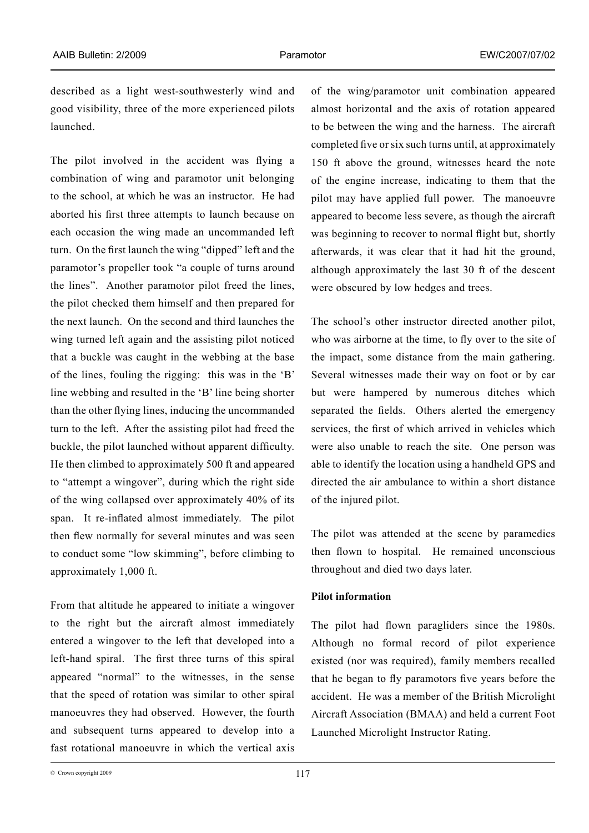described as a light west-southwesterly wind and good visibility, three of the more experienced pilots launched.

The pilot involved in the accident was flying a combination of wing and paramotor unit belonging to the school, at which he was an instructor. He had aborted his first three attempts to launch because on each occasion the wing made an uncommanded left turn. On the first launch the wing "dipped" left and the paramotor's propeller took "a couple of turns around the lines". Another paramotor pilot freed the lines, the pilot checked them himself and then prepared for the next launch. On the second and third launches the wing turned left again and the assisting pilot noticed that a buckle was caught in the webbing at the base of the lines, fouling the rigging: this was in the 'B' line webbing and resulted in the 'B' line being shorter than the other flying lines, inducing the uncommanded turn to the left. After the assisting pilot had freed the buckle, the pilot launched without apparent difficulty. He then climbed to approximately 500 ft and appeared to "attempt a wingover", during which the right side of the wing collapsed over approximately 40% of its span. It re-inflated almost immediately. The pilot then flew normally for several minutes and was seen to conduct some "low skimming", before climbing to approximately 1,000 ft.

From that altitude he appeared to initiate a wingover to the right but the aircraft almost immediately entered a wingover to the left that developed into a left-hand spiral. The first three turns of this spiral appeared "normal" to the witnesses, in the sense that the speed of rotation was similar to other spiral manoeuvres they had observed. However, the fourth and subsequent turns appeared to develop into a fast rotational manoeuvre in which the vertical axis

of the wing/paramotor unit combination appeared almost horizontal and the axis of rotation appeared to be between the wing and the harness. The aircraft completed five or six such turns until, at approximately 150 ft above the ground, witnesses heard the note of the engine increase, indicating to them that the pilot may have applied full power. The manoeuvre appeared to become less severe, as though the aircraft was beginning to recover to normal flight but, shortly afterwards, it was clear that it had hit the ground, although approximately the last 30 ft of the descent were obscured by low hedges and trees.

The school's other instructor directed another pilot, who was airborne at the time, to fly over to the site of the impact, some distance from the main gathering. Several witnesses made their way on foot or by car but were hampered by numerous ditches which separated the fields. Others alerted the emergency services, the first of which arrived in vehicles which were also unable to reach the site. One person was able to identify the location using a handheld GPS and directed the air ambulance to within a short distance of the injured pilot.

The pilot was attended at the scene by paramedics then flown to hospital. He remained unconscious throughout and died two days later.

#### **Pilot information**

The pilot had flown paragliders since the 1980s. Although no formal record of pilot experience existed (nor was required), family members recalled that he began to fly paramotors five years before the accident. He was a member of the British Microlight Aircraft Association (BMAA) and held a current Foot Launched Microlight Instructor Rating.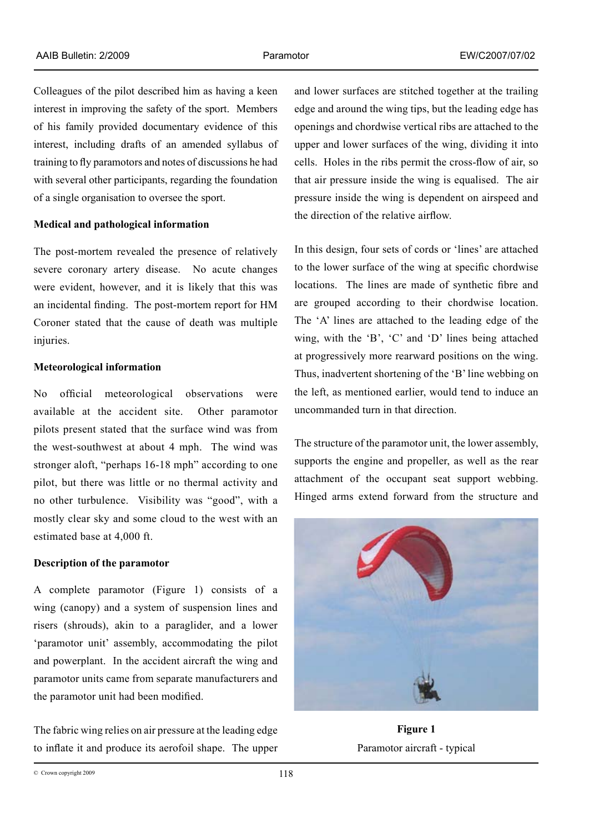Colleagues of the pilot described him as having a keen interest in improving the safety of the sport. Members of his family provided documentary evidence of this interest, including drafts of an amended syllabus of training to fly paramotors and notes of discussions he had with several other participants, regarding the foundation of a single organisation to oversee the sport.

### **Medical and pathological information**

The post-mortem revealed the presence of relatively severe coronary artery disease. No acute changes were evident, however, and it is likely that this was an incidental finding. The post-mortem report for HM Coroner stated that the cause of death was multiple injuries.

## **Meteorological information**

No official meteorological observations were available at the accident site. Other paramotor pilots present stated that the surface wind was from the west-southwest at about 4 mph. The wind was stronger aloft, "perhaps 16-18 mph" according to one pilot, but there was little or no thermal activity and no other turbulence. Visibility was "good", with a mostly clear sky and some cloud to the west with an estimated base at 4,000 ft.

### **Description of the paramotor**

A complete paramotor (Figure 1) consists of a wing (canopy) and a system of suspension lines and risers (shrouds), akin to a paraglider, and a lower 'paramotor unit' assembly, accommodating the pilot and powerplant. In the accident aircraft the wing and paramotor units came from separate manufacturers and the paramotor unit had been modified.

The fabric wing relies on air pressure at the leading edge to inflate it and produce its aerofoil shape. The upper and lower surfaces are stitched together at the trailing edge and around the wing tips, but the leading edge has openings and chordwise vertical ribs are attached to the upper and lower surfaces of the wing, dividing it into cells. Holes in the ribs permit the cross-flow of air, so that air pressure inside the wing is equalised. The air pressure inside the wing is dependent on airspeed and the direction of the relative airflow.

In this design, four sets of cords or 'lines' are attached to the lower surface of the wing at specific chordwise locations. The lines are made of synthetic fibre and are grouped according to their chordwise location. The 'A' lines are attached to the leading edge of the wing, with the 'B', 'C' and 'D' lines being attached at progressively more rearward positions on the wing. Thus, inadvertent shortening of the 'B' line webbing on the left, as mentioned earlier, would tend to induce an uncommanded turn in that direction.

The structure of the paramotor unit, the lower assembly, supports the engine and propeller, as well as the rear attachment of the occupant seat support webbing. Hinged arms extend forward from the structure and



**Figure 1** Paramotor aircraft - typical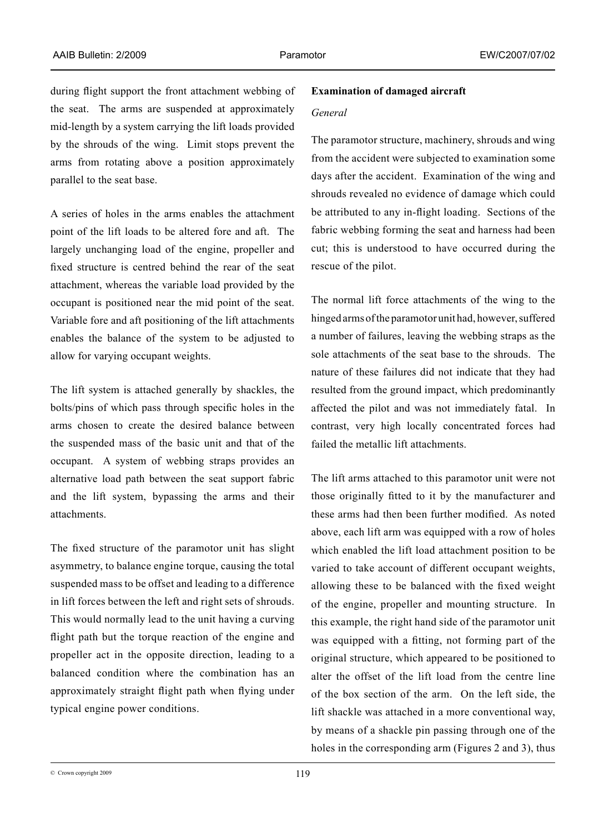during flight support the front attachment webbing of the seat. The arms are suspended at approximately mid-length by a system carrying the lift loads provided by the shrouds of the wing. Limit stops prevent the arms from rotating above a position approximately parallel to the seat base.

A series of holes in the arms enables the attachment point of the lift loads to be altered fore and aft. The largely unchanging load of the engine, propeller and fixed structure is centred behind the rear of the seat attachment, whereas the variable load provided by the occupant is positioned near the mid point of the seat. Variable fore and aft positioning of the lift attachments enables the balance of the system to be adjusted to allow for varying occupant weights.

The lift system is attached generally by shackles, the bolts/pins of which pass through specific holes in the arms chosen to create the desired balance between the suspended mass of the basic unit and that of the occupant. A system of webbing straps provides an alternative load path between the seat support fabric and the lift system, bypassing the arms and their attachments.

The fixed structure of the paramotor unit has slight asymmetry, to balance engine torque, causing the total suspended mass to be offset and leading to a difference in lift forces between the left and right sets of shrouds. This would normally lead to the unit having a curving flight path but the torque reaction of the engine and propeller act in the opposite direction, leading to a balanced condition where the combination has an approximately straight flight path when flying under typical engine power conditions.

# **Examination of damaged aircraft**

#### *General*

The paramotor structure, machinery, shrouds and wing from the accident were subjected to examination some days after the accident. Examination of the wing and shrouds revealed no evidence of damage which could be attributed to any in-flight loading. Sections of the fabric webbing forming the seat and harness had been cut; this is understood to have occurred during the rescue of the pilot.

The normal lift force attachments of the wing to the hinged arms of the paramotor unit had, however, suffered a number of failures, leaving the webbing straps as the sole attachments of the seat base to the shrouds. The nature of these failures did not indicate that they had resulted from the ground impact, which predominantly affected the pilot and was not immediately fatal. In contrast, very high locally concentrated forces had failed the metallic lift attachments.

The lift arms attached to this paramotor unit were not those originally fitted to it by the manufacturer and these arms had then been further modified. As noted above, each lift arm was equipped with a row of holes which enabled the lift load attachment position to be varied to take account of different occupant weights, allowing these to be balanced with the fixed weight of the engine, propeller and mounting structure. In this example, the right hand side of the paramotor unit was equipped with a fitting, not forming part of the original structure, which appeared to be positioned to alter the offset of the lift load from the centre line of the box section of the arm. On the left side, the lift shackle was attached in a more conventional way, by means of a shackle pin passing through one of the holes in the corresponding arm (Figures 2 and 3), thus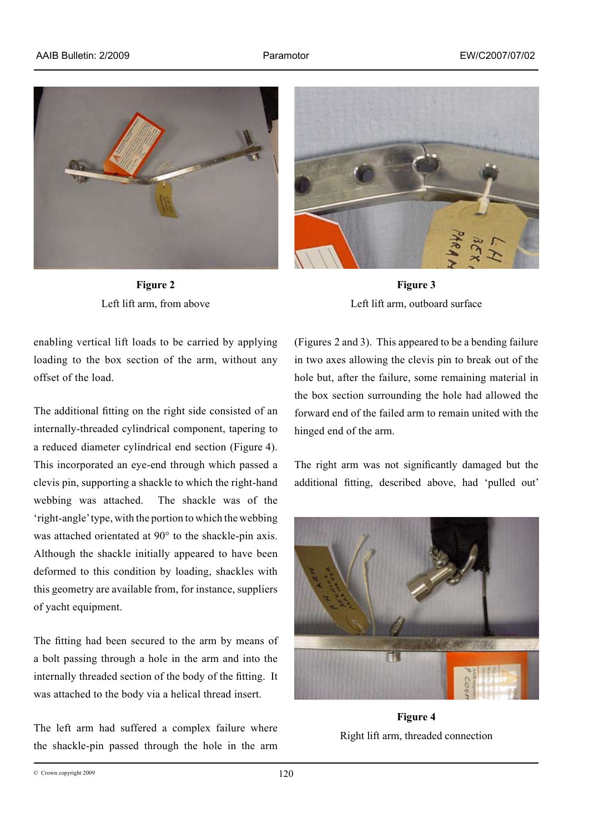

**Figure 2** Left lift arm, from above

enabling vertical lift loads to be carried by applying loading to the box section of the arm, without any offset of the load.

The additional fitting on the right side consisted of an internally-threaded cylindrical component, tapering to a reduced diameter cylindrical end section (Figure 4). This incorporated an eye-end through which passed a clevis pin, supporting a shackle to which the right-hand webbing was attached. The shackle was of the 'right‑angle' type, with the portion to which the webbing was attached orientated at 90° to the shackle-pin axis. Although the shackle initially appeared to have been deformed to this condition by loading, shackles with this geometry are available from, for instance, suppliers of yacht equipment.

The fitting had been secured to the arm by means of a bolt passing through a hole in the arm and into the internally threaded section of the body of the fitting. It was attached to the body via a helical thread insert.

The left arm had suffered a complex failure where the shackle-pin passed through the hole in the arm



**Figure 3** Left lift arm, outboard surface

(Figures 2 and 3). This appeared to be a bending failure in two axes allowing the clevis pin to break out of the hole but, after the failure, some remaining material in the box section surrounding the hole had allowed the forward end of the failed arm to remain united with the hinged end of the arm.

The right arm was not significantly damaged but the additional fitting, described above, had 'pulled out'



**Figure 4** Right lift arm, threaded connection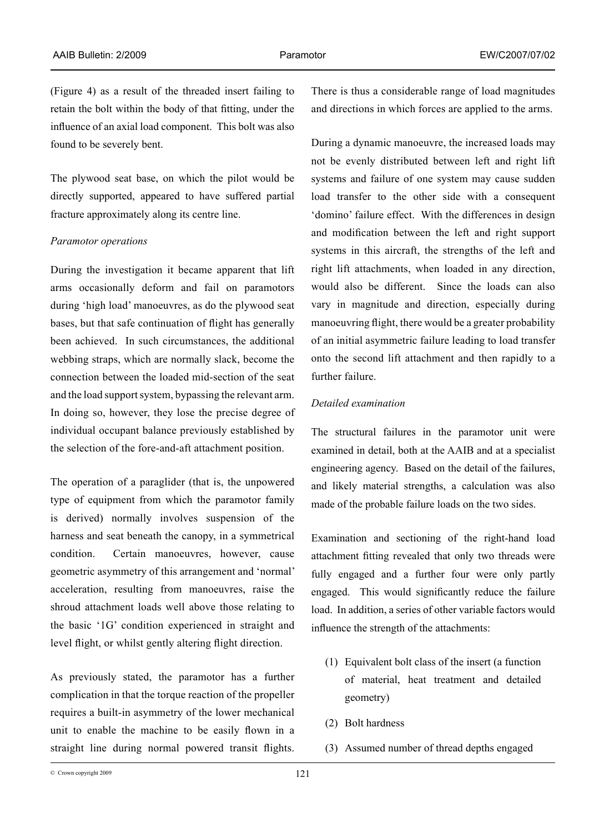(Figure 4) as a result of the threaded insert failing to retain the bolt within the body of that fitting, under the influence of an axial load component. This bolt was also found to be severely bent.

The plywood seat base, on which the pilot would be directly supported, appeared to have suffered partial fracture approximately along its centre line.

#### *Paramotor operations*

During the investigation it became apparent that lift arms occasionally deform and fail on paramotors during 'high load' manoeuvres, as do the plywood seat bases, but that safe continuation of flight has generally been achieved. In such circumstances, the additional webbing straps, which are normally slack, become the connection between the loaded mid-section of the seat and the load support system, bypassing the relevant arm. In doing so, however, they lose the precise degree of individual occupant balance previously established by the selection of the fore-and-aft attachment position.

The operation of a paraglider (that is, the unpowered type of equipment from which the paramotor family is derived) normally involves suspension of the harness and seat beneath the canopy, in a symmetrical condition. Certain manoeuvres, however, cause geometric asymmetry of this arrangement and 'normal' acceleration, resulting from manoeuvres, raise the shroud attachment loads well above those relating to the basic '1G' condition experienced in straight and level flight, or whilst gently altering flight direction.

As previously stated, the paramotor has a further complication in that the torque reaction of the propeller requires a built-in asymmetry of the lower mechanical unit to enable the machine to be easily flown in a straight line during normal powered transit flights.

There is thus a considerable range of load magnitudes and directions in which forces are applied to the arms.

During a dynamic manoeuvre, the increased loads may not be evenly distributed between left and right lift systems and failure of one system may cause sudden load transfer to the other side with a consequent 'domino' failure effect. With the differences in design and modification between the left and right support systems in this aircraft, the strengths of the left and right lift attachments, when loaded in any direction, would also be different. Since the loads can also vary in magnitude and direction, especially during manoeuvring flight, there would be a greater probability of an initial asymmetric failure leading to load transfer onto the second lift attachment and then rapidly to a further failure.

#### *Detailed examination*

The structural failures in the paramotor unit were examined in detail, both at the AAIB and at a specialist engineering agency. Based on the detail of the failures, and likely material strengths, a calculation was also made of the probable failure loads on the two sides.

Examination and sectioning of the right-hand load attachment fitting revealed that only two threads were fully engaged and a further four were only partly engaged. This would significantly reduce the failure load. In addition, a series of other variable factors would influence the strength of the attachments:

- (1) Equivalent bolt class of the insert (a function of material, heat treatment and detailed geometry)
- (2) Bolt hardness
- (3) Assumed number of thread depths engaged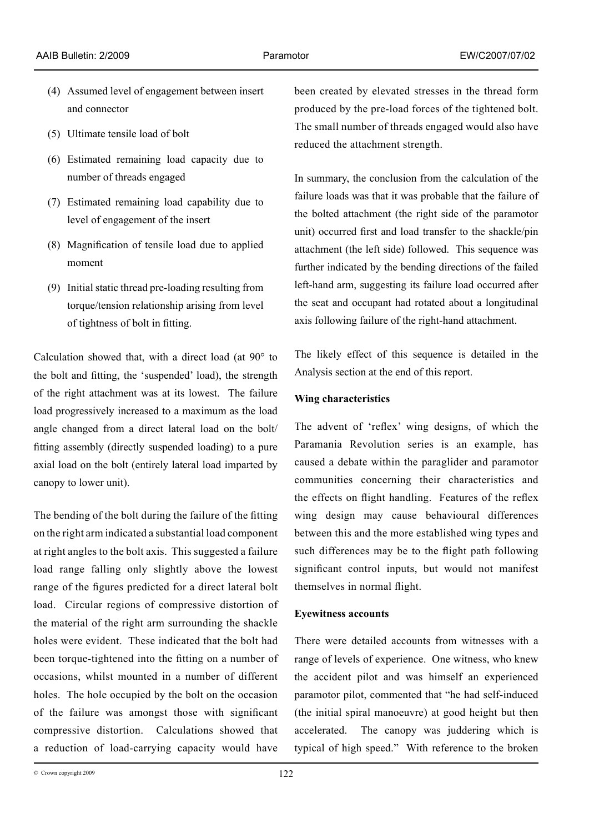- (4) Assumed level of engagement between insert and connector
- (5) Ultimate tensile load of bolt
- (6) Estimated remaining load capacity due to number of threads engaged
- (7) Estimated remaining load capability due to level of engagement of the insert
- (8) Magnification of tensile load due to applied moment
- (9) Initial static thread pre-loading resulting from torque/tension relationship arising from level of tightness of bolt in fitting.

Calculation showed that, with a direct load (at 90° to the bolt and fitting, the 'suspended' load), the strength of the right attachment was at its lowest. The failure load progressively increased to a maximum as the load angle changed from a direct lateral load on the bolt/ fitting assembly (directly suspended loading) to a pure axial load on the bolt (entirely lateral load imparted by canopy to lower unit).

The bending of the bolt during the failure of the fitting on the right arm indicated a substantial load component at right angles to the bolt axis. This suggested a failure load range falling only slightly above the lowest range of the figures predicted for a direct lateral bolt load. Circular regions of compressive distortion of the material of the right arm surrounding the shackle holes were evident. These indicated that the bolt had been torque-tightened into the fitting on a number of occasions, whilst mounted in a number of different holes. The hole occupied by the bolt on the occasion of the failure was amongst those with significant compressive distortion. Calculations showed that a reduction of load-carrying capacity would have

been created by elevated stresses in the thread form produced by the pre-load forces of the tightened bolt. The small number of threads engaged would also have reduced the attachment strength.

In summary, the conclusion from the calculation of the failure loads was that it was probable that the failure of the bolted attachment (the right side of the paramotor unit) occurred first and load transfer to the shackle/pin attachment (the left side) followed. This sequence was further indicated by the bending directions of the failed left-hand arm, suggesting its failure load occurred after the seat and occupant had rotated about a longitudinal axis following failure of the right-hand attachment.

The likely effect of this sequence is detailed in the Analysis section at the end of this report.

# **Wing characteristics**

The advent of 'reflex' wing designs, of which the Paramania Revolution series is an example, has caused a debate within the paraglider and paramotor communities concerning their characteristics and the effects on flight handling. Features of the reflex wing design may cause behavioural differences between this and the more established wing types and such differences may be to the flight path following significant control inputs, but would not manifest themselves in normal flight.

# **Eyewitness accounts**

There were detailed accounts from witnesses with a range of levels of experience. One witness, who knew the accident pilot and was himself an experienced paramotor pilot, commented that "he had self-induced (the initial spiral manoeuvre) at good height but then accelerated. The canopy was juddering which is typical of high speed." With reference to the broken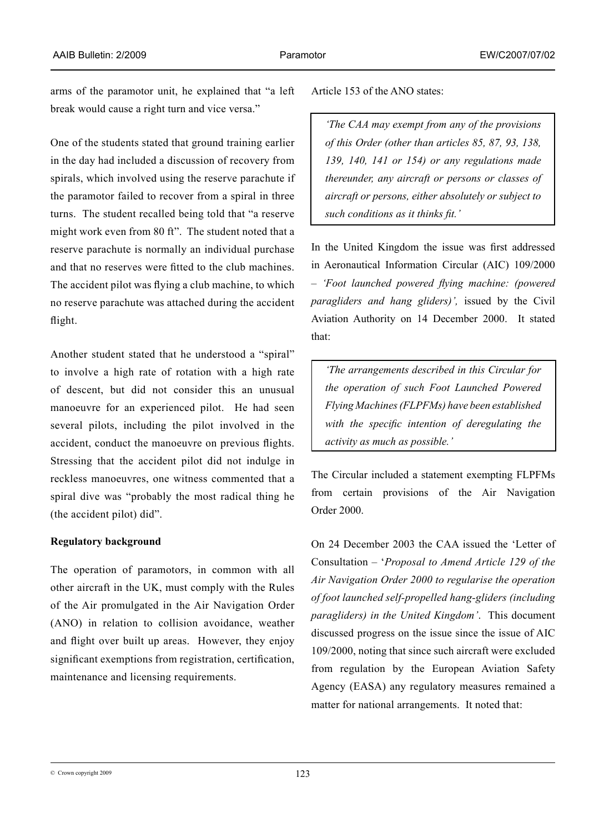arms of the paramotor unit, he explained that "a left break would cause a right turn and vice versa."

One of the students stated that ground training earlier in the day had included a discussion of recovery from spirals, which involved using the reserve parachute if the paramotor failed to recover from a spiral in three turns. The student recalled being told that "a reserve might work even from 80 ft". The student noted that a reserve parachute is normally an individual purchase and that no reserves were fitted to the club machines. The accident pilot was flying a club machine, to which no reserve parachute was attached during the accident flight.

Another student stated that he understood a "spiral" to involve a high rate of rotation with a high rate of descent, but did not consider this an unusual manoeuvre for an experienced pilot. He had seen several pilots, including the pilot involved in the accident, conduct the manoeuvre on previous flights. Stressing that the accident pilot did not indulge in reckless manoeuvres, one witness commented that a spiral dive was "probably the most radical thing he (the accident pilot) did".

### **Regulatory background**

The operation of paramotors, in common with all other aircraft in the UK, must comply with the Rules of the Air promulgated in the Air Navigation Order (ANO) in relation to collision avoidance, weather and flight over built up areas. However, they enjoy significant exemptions from registration, certification, maintenance and licensing requirements.

Article 153 of the ANO states:

*'The CAA may exempt from any of the provisions of this Order (other than articles 85, 87, 93, 138, 139, 140, 141 or 154) or any regulations made thereunder, any aircraft or persons or classes of aircraft or persons, either absolutely or subject to such conditions as it thinks fit.'*

In the United Kingdom the issue was first addressed in Aeronautical Information Circular (AIC) 109/2000 – *'Foot launched powered flying machine: (powered paragliders and hang gliders)',* issued by the Civil Aviation Authority on 14 December 2000. It stated that:

*'The arrangements described in this Circular for the operation of such Foot Launched Powered Flying Machines (FLPFMs) have been established with the specific intention of deregulating the activity as much as possible.'*

The Circular included a statement exempting FLPFMs from certain provisions of the Air Navigation Order 2000.

On 24 December 2003 the CAA issued the 'Letter of Consultation – '*Proposal to Amend Article 129 of the Air Navigation Order 2000 to regularise the operation of foot launched self-propelled hang-gliders (including paragliders) in the United Kingdom'*. This document discussed progress on the issue since the issue of AIC 109/2000, noting that since such aircraft were excluded from regulation by the European Aviation Safety Agency (EASA) any regulatory measures remained a matter for national arrangements. It noted that:

 $\degree$  Crown copyright 2009  $\degree$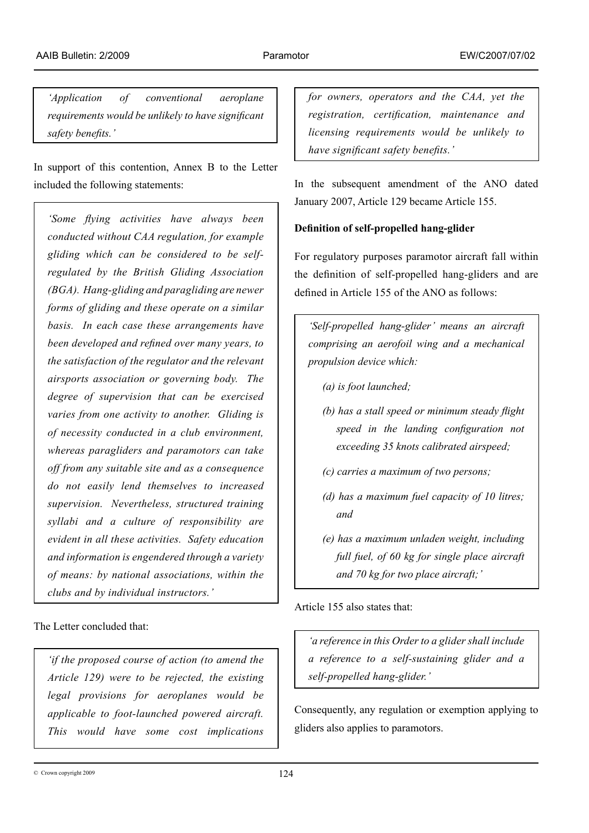*'Application of conventional aeroplane requirements would be unlikely to have significant safety benefits.'*

In support of this contention, Annex B to the Letter included the following statements:

*'Some flying activities have always been conducted without CAA regulation, for example gliding which can be considered to be selfregulated by the British Gliding Association (BGA). Hang-gliding and paragliding are newer forms of gliding and these operate on a similar basis. In each case these arrangements have been developed and refined over many years, to the satisfaction of the regulator and the relevant airsports association or governing body. The degree of supervision that can be exercised varies from one activity to another. Gliding is of necessity conducted in a club environment, whereas paragliders and paramotors can take off from any suitable site and as a consequence do not easily lend themselves to increased supervision. Nevertheless, structured training syllabi and a culture of responsibility are evident in all these activities. Safety education and information is engendered through a variety of means: by national associations, within the clubs and by individual instructors.'*

The Letter concluded that:

*'if the proposed course of action (to amend the Article 129) were to be rejected, the existing legal provisions for aeroplanes would be applicable to foot-launched powered aircraft. This would have some cost implications* 

*for owners, operators and the CAA, yet the registration, certification, maintenance and licensing requirements would be unlikely to have significant safety benefits.'*

In the subsequent amendment of the ANO dated January 2007, Article 129 became Article 155.

# **Definition of self-propelled hang-glider**

For regulatory purposes paramotor aircraft fall within the definition of self-propelled hang-gliders and are defined in Article 155 of the ANO as follows:

*'Self-propelled hang-glider' means an aircraft comprising an aerofoil wing and a mechanical propulsion device which:*

- *(a) is foot launched;*
- *(b) has a stall speed or minimum steady flight speed in the landing configuration not exceeding 35 knots calibrated airspeed;*
- *(c) carries a maximum of two persons;*
- *(d) has a maximum fuel capacity of 10 litres; and*
- *(e) has a maximum unladen weight, including full fuel, of 60 kg for single place aircraft and 70 kg for two place aircraft;'*

Article 155 also states that:

*'a reference in this Order to a glider shall include a reference to a self-sustaining glider and a self-propelled hang-glider.'*

Consequently, any regulation or exemption applying to gliders also applies to paramotors.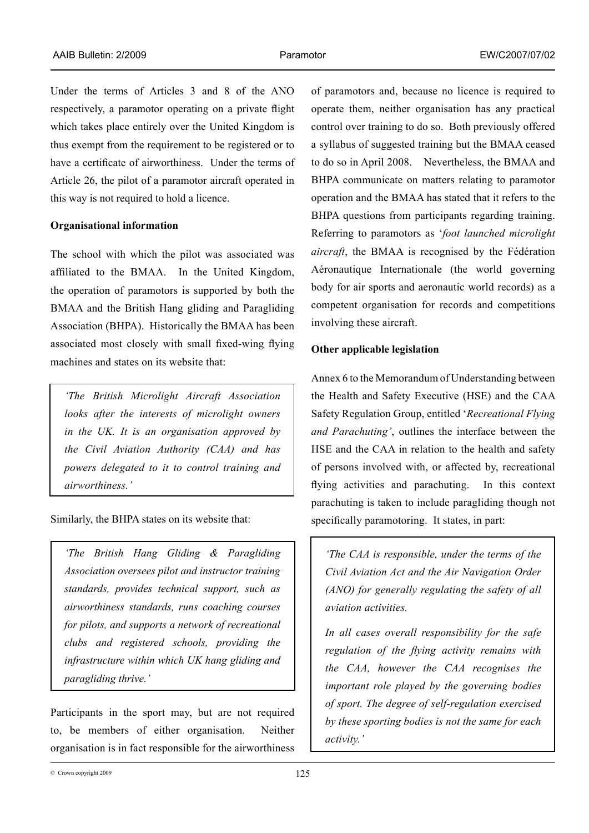Under the terms of Articles 3 and 8 of the ANO respectively, a paramotor operating on a private flight which takes place entirely over the United Kingdom is thus exempt from the requirement to be registered or to have a certificate of airworthiness. Under the terms of Article 26, the pilot of a paramotor aircraft operated in this way is not required to hold a licence.

### **Organisational information**

The school with which the pilot was associated was affiliated to the BMAA. In the United Kingdom, the operation of paramotors is supported by both the BMAA and the British Hang gliding and Paragliding Association (BHPA). Historically the BMAA has been associated most closely with small fixed-wing flying machines and states on its website that:

*'The British Microlight Aircraft Association looks after the interests of microlight owners in the UK. It is an organisation approved by the Civil Aviation Authority (CAA) and has powers delegated to it to control training and airworthiness.'*

Similarly, the BHPA states on its website that:

*'The British Hang Gliding & Paragliding Association oversees pilot and instructor training standards, provides technical support, such as airworthiness standards, runs coaching courses for pilots, and supports a network of recreational clubs and registered schools, providing the infrastructure within which UK hang gliding and paragliding thrive.'*

Participants in the sport may, but are not required to, be members of either organisation. Neither organisation is in fact responsible for the airworthiness of paramotors and, because no licence is required to operate them, neither organisation has any practical control over training to do so. Both previously offered a syllabus of suggested training but the BMAA ceased to do so in April 2008. Nevertheless, the BMAA and BHPA communicate on matters relating to paramotor operation and the BMAA has stated that it refers to the BHPA questions from participants regarding training. Referring to paramotors as '*foot launched microlight aircraft*, the BMAA is recognised by the Fédération Aéronautique Internationale (the world governing body for air sports and aeronautic world records) as a competent organisation for records and competitions involving these aircraft.

#### **Other applicable legislation**

Annex 6 to the Memorandum of Understanding between the Health and Safety Executive (HSE) and the CAA Safety Regulation Group, entitled '*Recreational Flying and Parachuting'*, outlines the interface between the HSE and the CAA in relation to the health and safety of persons involved with, or affected by, recreational flying activities and parachuting. In this context parachuting is taken to include paragliding though not specifically paramotoring. It states, in part:

*'The CAA is responsible, under the terms of the Civil Aviation Act and the Air Navigation Order (ANO) for generally regulating the safety of all aviation activities.* 

*In all cases overall responsibility for the safe regulation of the flying activity remains with the CAA, however the CAA recognises the important role played by the governing bodies of sport. The degree of self-regulation exercised by these sporting bodies is not the same for each activity.'*

 $\degree$  Crown copyright 2009  $125$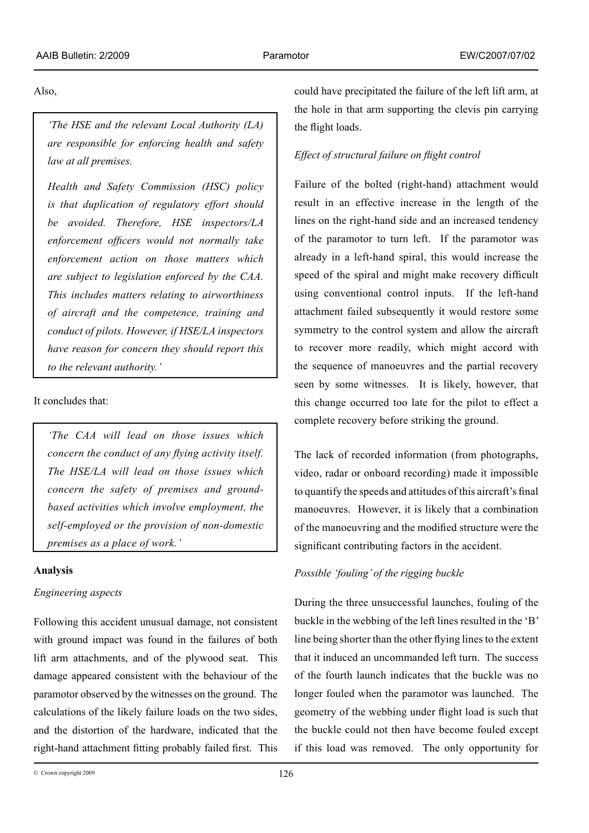Also,

*'The HSE and the relevant Local Authority (LA) are responsible for enforcing health and safety law at all premises.* 

*Health and Safety Commission (HSC) policy is that duplication of regulatory effort should be avoided. Therefore, HSE inspectors/LA enforcement officers would not normally take enforcement action on those matters which are subject to legislation enforced by the CAA. This includes matters relating to airworthiness of aircraft and the competence, training and conduct of pilots. However, if HSE/LA inspectors have reason for concern they should report this to the relevant authority.'*

It concludes that:

*'The CAA will lead on those issues which concern the conduct of any flying activity itself. The HSE/LA will lead on those issues which concern the safety of premises and groundbased activities which involve employment, the self-employed or the provision of non-domestic premises as a place of work.'*

# **Analysis**

# *Engineering aspects*

Following this accident unusual damage, not consistent with ground impact was found in the failures of both lift arm attachments, and of the plywood seat. This damage appeared consistent with the behaviour of the paramotor observed by the witnesses on the ground. The calculations of the likely failure loads on the two sides, and the distortion of the hardware, indicated that the right-hand attachment fitting probably failed first. This

 $\degree$  Crown copyright 2009  $126$ 

could have precipitated the failure of the left lift arm, at the hole in that arm supporting the clevis pin carrying the flight loads.

# *Effect of structural failure on flight control*

Failure of the bolted (right-hand) attachment would result in an effective increase in the length of the lines on the right-hand side and an increased tendency of the paramotor to turn left. If the paramotor was already in a left-hand spiral, this would increase the speed of the spiral and might make recovery difficult using conventional control inputs. If the left-hand attachment failed subsequently it would restore some symmetry to the control system and allow the aircraft to recover more readily, which might accord with the sequence of manoeuvres and the partial recovery seen by some witnesses. It is likely, however, that this change occurred too late for the pilot to effect a complete recovery before striking the ground.

The lack of recorded information (from photographs, video, radar or onboard recording) made it impossible to quantify the speeds and attitudes of this aircraft's final manoeuvres. However, it is likely that a combination of the manoeuvring and the modified structure were the significant contributing factors in the accident.

# *Possible 'fouling' of the rigging buckle*

During the three unsuccessful launches, fouling of the buckle in the webbing of the left lines resulted in the 'B' line being shorter than the other flying lines to the extent that it induced an uncommanded left turn. The success of the fourth launch indicates that the buckle was no longer fouled when the paramotor was launched. The geometry of the webbing under flight load is such that the buckle could not then have become fouled except if this load was removed. The only opportunity for